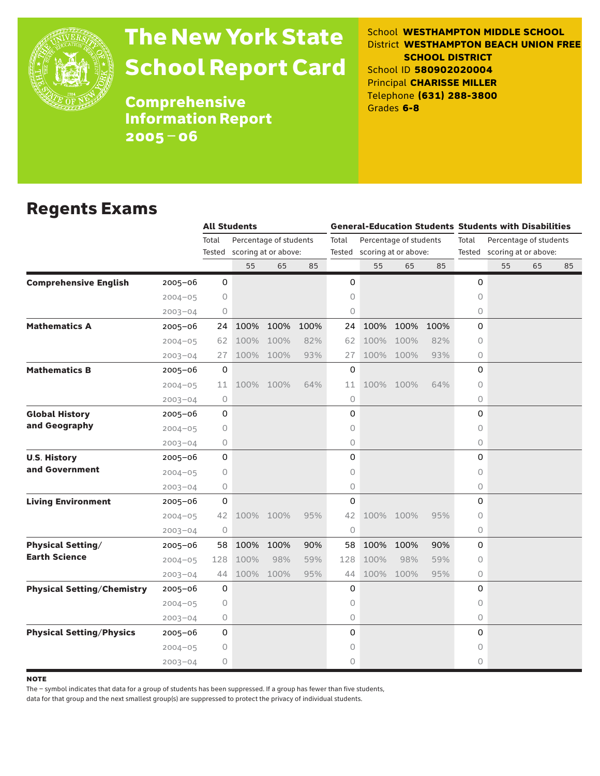

# The New York State School Report Card

School **WESTHAMPTON MIDDLE SCHOOL** District **WESTHAMPTON BEACH UNION FREE SCHOOL DISTRICT** School ID **580902020004** Principal **CHARISSE MILLER** Telephone **(631) 288-3800** Grades **6-8**

**Comprehensive** Information Report 2005–06

### Regents Exams

|                                   |             |                     | <b>All Students</b>  |                        |      |             | <b>General-Education Students Students with Disabilities</b> |                        |      |                                 |    |    |    |  |
|-----------------------------------|-------------|---------------------|----------------------|------------------------|------|-------------|--------------------------------------------------------------|------------------------|------|---------------------------------|----|----|----|--|
|                                   |             | Total               |                      | Percentage of students |      | Total       |                                                              | Percentage of students |      | Total<br>Percentage of students |    |    |    |  |
|                                   |             | Tested              | scoring at or above: |                        |      |             | Tested scoring at or above:                                  |                        |      | Tested scoring at or above:     |    |    |    |  |
|                                   |             |                     | 55                   | 65                     | 85   |             | 55                                                           | 65                     | 85   |                                 | 55 | 65 | 85 |  |
| <b>Comprehensive English</b>      | $2005 - 06$ | $\mathsf{O}$        |                      |                        |      | 0           |                                                              |                        |      | 0                               |    |    |    |  |
|                                   | $2004 - 05$ | 0                   |                      |                        |      | 0           |                                                              |                        |      | $\circ$                         |    |    |    |  |
|                                   | $2003 - 04$ | 0                   |                      |                        |      | 0           |                                                              |                        |      | 0                               |    |    |    |  |
| <b>Mathematics A</b>              | 2005-06     | 24                  | 100%                 | 100%                   | 100% | 24          | 100%                                                         | 100%                   | 100% | 0                               |    |    |    |  |
|                                   | $2004 - 05$ | 62                  | 100%                 | 100%                   | 82%  | 62          | 100%                                                         | 100%                   | 82%  | $\circ$                         |    |    |    |  |
|                                   | $2003 - 04$ | 27                  |                      | 100% 100%              | 93%  | 27          |                                                              | 100% 100%              | 93%  | $\circ$                         |    |    |    |  |
| <b>Mathematics B</b>              | $2005 - 06$ | 0                   |                      |                        |      | 0           |                                                              |                        |      | 0                               |    |    |    |  |
|                                   | $2004 - 05$ | 11                  |                      | 100% 100%              | 64%  | 11          |                                                              | 100% 100%              | 64%  | $\Omega$                        |    |    |    |  |
|                                   | $2003 - 04$ | 0                   |                      |                        |      | 0           |                                                              |                        |      | 0                               |    |    |    |  |
| <b>Global History</b>             | $2005 - 06$ | 0                   |                      |                        |      | 0           |                                                              |                        |      | 0                               |    |    |    |  |
| and Geography                     | $2004 - 05$ | 0                   |                      |                        |      | 0           |                                                              |                        |      | $\circ$                         |    |    |    |  |
|                                   | $2003 - 04$ | 0                   |                      |                        |      | 0           |                                                              |                        |      | 0                               |    |    |    |  |
| <b>U.S. History</b>               | $2005 - 06$ | $\mathsf O$         |                      |                        |      | 0           |                                                              |                        |      | $\Omega$                        |    |    |    |  |
| and Government                    | $2004 - 05$ | 0                   |                      |                        |      | 0           |                                                              |                        |      | $\circ$                         |    |    |    |  |
|                                   | $2003 - 04$ | 0                   |                      |                        |      | 0           |                                                              |                        |      | 0                               |    |    |    |  |
| <b>Living Environment</b>         | 2005–06     | 0                   |                      |                        |      | 0           |                                                              |                        |      | 0                               |    |    |    |  |
|                                   | $2004 - 05$ | 42                  |                      | 100% 100%              | 95%  | 42          |                                                              | 100% 100%              | 95%  | $\Omega$                        |    |    |    |  |
|                                   | $2003 - 04$ | $\circlearrowright$ |                      |                        |      | $\mathsf O$ |                                                              |                        |      | 0                               |    |    |    |  |
| <b>Physical Setting/</b>          | $2005 - 06$ | 58                  | 100%                 | 100%                   | 90%  | 58          | 100%                                                         | 100%                   | 90%  | 0                               |    |    |    |  |
| <b>Earth Science</b>              | $2004 - 05$ | 128                 | 100%                 | 98%                    | 59%  | 128         | 100%                                                         | 98%                    | 59%  | $\Omega$                        |    |    |    |  |
|                                   | $2003 - 04$ | 44                  | 100%                 | 100%                   | 95%  | 44          | 100%                                                         | 100%                   | 95%  | 0                               |    |    |    |  |
| <b>Physical Setting/Chemistry</b> | $2005 - 06$ | 0                   |                      |                        |      | 0           |                                                              |                        |      | 0                               |    |    |    |  |
|                                   | $2004 - 05$ | 0                   |                      |                        |      | 0           |                                                              |                        |      | $\circ$                         |    |    |    |  |
|                                   | $2003 - 04$ | 0                   |                      |                        |      | 0           |                                                              |                        |      | 0                               |    |    |    |  |
| <b>Physical Setting/Physics</b>   | 2005-06     | 0                   |                      |                        |      | 0           |                                                              |                        |      | 0                               |    |    |    |  |
|                                   | $2004 - 05$ | 0                   |                      |                        |      | 0           |                                                              |                        |      | 0                               |    |    |    |  |
|                                   | $2003 - 04$ | 0                   |                      |                        |      | 0           |                                                              |                        |      | $\Omega$                        |    |    |    |  |

**NOTE** 

The – symbol indicates that data for a group of students has been suppressed. If a group has fewer than five students,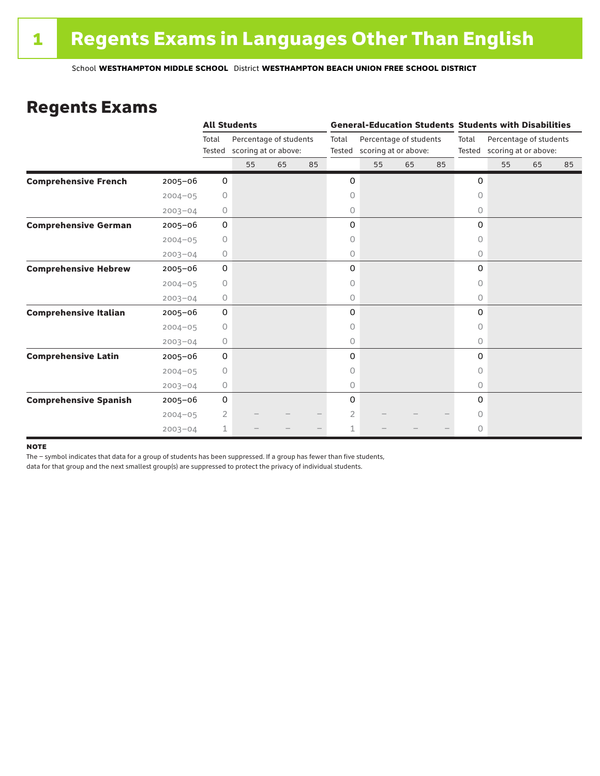### Regents Exams

|                              |             |                 | <b>All Students</b>                            |    |    |                                                                   | <b>General-Education Students Students with Disabilities</b> |    |       |                                                       |    |    |    |  |
|------------------------------|-------------|-----------------|------------------------------------------------|----|----|-------------------------------------------------------------------|--------------------------------------------------------------|----|-------|-------------------------------------------------------|----|----|----|--|
|                              |             | Total<br>Tested | Percentage of students<br>scoring at or above: |    |    | Total<br>Percentage of students<br>scoring at or above:<br>Tested |                                                              |    | Total | Percentage of students<br>Tested scoring at or above: |    |    |    |  |
|                              |             |                 | 55                                             | 65 | 85 |                                                                   | 55                                                           | 65 | 85    |                                                       | 55 | 65 | 85 |  |
| <b>Comprehensive French</b>  | $2005 - 06$ | 0               |                                                |    |    | 0                                                                 |                                                              |    |       | 0                                                     |    |    |    |  |
|                              | $2004 - 05$ | 0               |                                                |    |    | 0                                                                 |                                                              |    |       | $\circ$                                               |    |    |    |  |
|                              | $2003 - 04$ | 0               |                                                |    |    | 0                                                                 |                                                              |    |       | 0                                                     |    |    |    |  |
| <b>Comprehensive German</b>  | $2005 - 06$ | 0               |                                                |    |    | 0                                                                 |                                                              |    |       | 0                                                     |    |    |    |  |
|                              | $2004 - 05$ | 0               |                                                |    |    | 0                                                                 |                                                              |    |       | 0                                                     |    |    |    |  |
|                              | $2003 - 04$ | $\circ$         |                                                |    |    | 0                                                                 |                                                              |    |       | 0                                                     |    |    |    |  |
| <b>Comprehensive Hebrew</b>  | $2005 - 06$ | 0               |                                                |    |    | 0                                                                 |                                                              |    |       | 0                                                     |    |    |    |  |
|                              | $2004 - 05$ | 0               |                                                |    |    | 0                                                                 |                                                              |    |       | 0                                                     |    |    |    |  |
|                              | $2003 - 04$ | 0               |                                                |    |    | 0                                                                 |                                                              |    |       | $\circ$                                               |    |    |    |  |
| <b>Comprehensive Italian</b> | 2005-06     | 0               |                                                |    |    | 0                                                                 |                                                              |    |       | $\Omega$                                              |    |    |    |  |
|                              | $2004 - 05$ | 0               |                                                |    |    | 0                                                                 |                                                              |    |       | 0                                                     |    |    |    |  |
|                              | $2003 - 04$ | 0               |                                                |    |    | 0                                                                 |                                                              |    |       | 0                                                     |    |    |    |  |
| <b>Comprehensive Latin</b>   | $2005 - 06$ | 0               |                                                |    |    | 0                                                                 |                                                              |    |       | 0                                                     |    |    |    |  |
|                              | $2004 - 05$ | $\circ$         |                                                |    |    | 0                                                                 |                                                              |    |       | $\bigcap$                                             |    |    |    |  |
|                              | $2003 - 04$ | 0               |                                                |    |    | 0                                                                 |                                                              |    |       | 0                                                     |    |    |    |  |
| <b>Comprehensive Spanish</b> | $2005 - 06$ | 0               |                                                |    |    | 0                                                                 |                                                              |    |       | $\Omega$                                              |    |    |    |  |
|                              | $2004 - 05$ | 2               |                                                |    |    | 2                                                                 |                                                              |    |       | 0                                                     |    |    |    |  |
|                              | $2003 - 04$ | 1               |                                                |    |    | 1                                                                 |                                                              |    |       | $\circ$                                               |    |    |    |  |

#### **NOTE**

The – symbol indicates that data for a group of students has been suppressed. If a group has fewer than five students,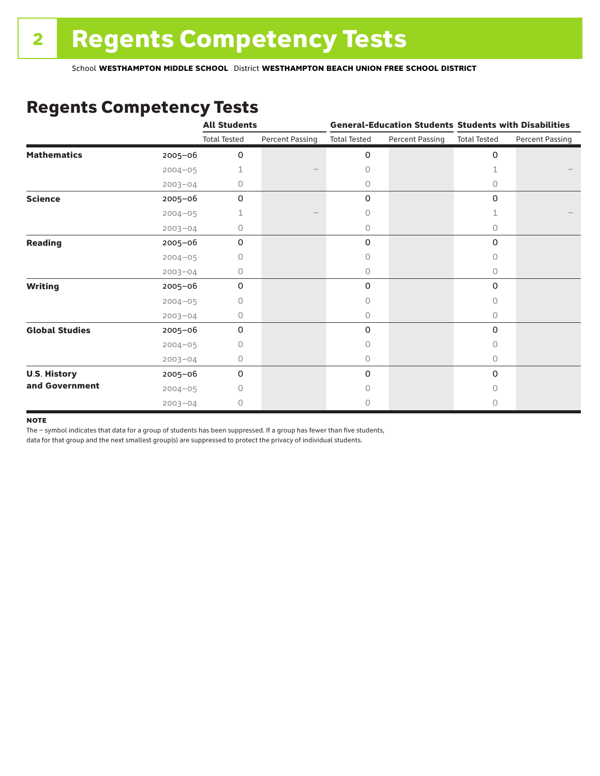### Regents Competency Tests

|                       |             | <b>All Students</b> |                        | <b>General-Education Students Students with Disabilities</b> |                        |                     |                        |
|-----------------------|-------------|---------------------|------------------------|--------------------------------------------------------------|------------------------|---------------------|------------------------|
|                       |             | <b>Total Tested</b> | <b>Percent Passing</b> | <b>Total Tested</b>                                          | <b>Percent Passing</b> | <b>Total Tested</b> | <b>Percent Passing</b> |
| <b>Mathematics</b>    | 2005-06     | 0                   |                        | 0                                                            |                        | $\mathbf 0$         |                        |
|                       | $2004 - 05$ | 1                   |                        | 0                                                            |                        | 1                   |                        |
|                       | $2003 - 04$ | 0                   |                        | 0                                                            |                        | 0                   |                        |
| <b>Science</b>        | 2005-06     | 0                   |                        | 0                                                            |                        | $\mathbf 0$         |                        |
|                       | $2004 - 05$ | 1                   |                        | 0                                                            |                        | 1                   |                        |
|                       | $2003 - 04$ | 0                   |                        | 0                                                            |                        | 0                   |                        |
| <b>Reading</b>        | 2005-06     | 0                   |                        | 0                                                            |                        | 0                   |                        |
|                       | $2004 - 05$ | 0                   |                        | 0                                                            |                        | 0                   |                        |
|                       | $2003 - 04$ | 0                   |                        | 0                                                            |                        | 0                   |                        |
| <b>Writing</b>        | 2005-06     | 0                   |                        | 0                                                            |                        | $\mathbf 0$         |                        |
|                       | $2004 - 05$ | 0                   |                        | 0                                                            |                        | 0                   |                        |
|                       | $2003 - 04$ | 0                   |                        | 0                                                            |                        | 0                   |                        |
| <b>Global Studies</b> | 2005-06     | $\mathbf 0$         |                        | 0                                                            |                        | $\mathbf 0$         |                        |
|                       | $2004 - 05$ | 0                   |                        | 0                                                            |                        | 0                   |                        |
|                       | $2003 - 04$ | 0                   |                        | 0                                                            |                        | 0                   |                        |
| <b>U.S. History</b>   | 2005-06     | 0                   |                        | 0                                                            |                        | 0                   |                        |
| and Government        | $2004 - 05$ | $\bigcap$           |                        | 0                                                            |                        | $\bigcap$           |                        |
|                       | $2003 - 04$ | 0                   |                        | 0                                                            |                        | 0                   |                        |

#### **NOTE**

The – symbol indicates that data for a group of students has been suppressed. If a group has fewer than five students,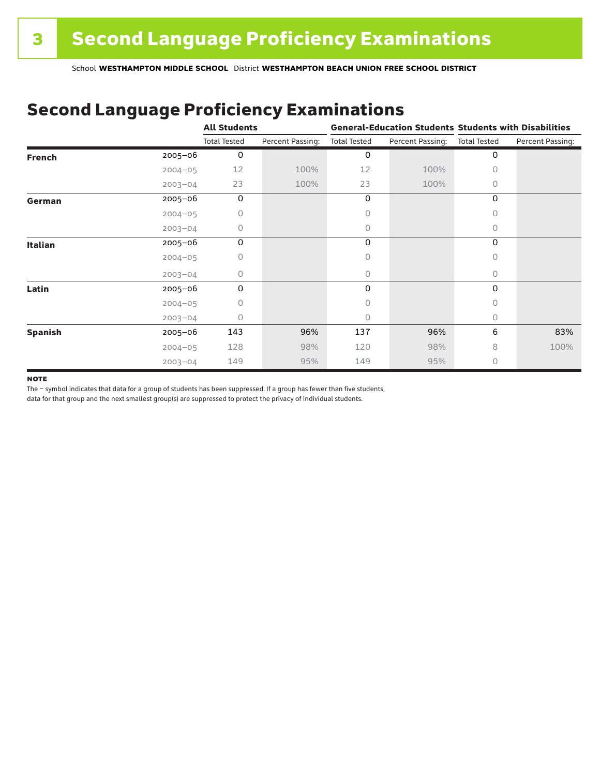## Second Language Proficiency Examinations

|                |             | <b>All Students</b> |                  |                     |                  | <b>General-Education Students Students with Disabilities</b> |                  |  |
|----------------|-------------|---------------------|------------------|---------------------|------------------|--------------------------------------------------------------|------------------|--|
|                |             | <b>Total Tested</b> | Percent Passing: | <b>Total Tested</b> | Percent Passing: | <b>Total Tested</b>                                          | Percent Passing: |  |
| <b>French</b>  | $2005 - 06$ | $\mathbf 0$         |                  | 0                   |                  | 0                                                            |                  |  |
|                | $2004 - 05$ | 12                  | 100%             | 12                  | 100%             | 0                                                            |                  |  |
|                | $2003 - 04$ | 23                  | 100%             | 23                  | 100%             | 0                                                            |                  |  |
| German         | $2005 - 06$ | 0                   |                  | 0                   |                  | 0                                                            |                  |  |
|                | $2004 - 05$ | 0                   |                  | 0                   |                  | 0                                                            |                  |  |
|                | $2003 - 04$ | 0                   |                  | 0                   |                  | 0                                                            |                  |  |
| <b>Italian</b> | $2005 - 06$ | 0                   |                  | 0                   |                  | 0                                                            |                  |  |
|                | $2004 - 05$ | 0                   |                  | 0                   |                  | 0                                                            |                  |  |
|                | $2003 - 04$ | 0                   |                  | 0                   |                  | 0                                                            |                  |  |
| Latin          | $2005 - 06$ | 0                   |                  | 0                   |                  | 0                                                            |                  |  |
|                | $2004 - 05$ | 0                   |                  | 0                   |                  | 0                                                            |                  |  |
|                | $2003 - 04$ | 0                   |                  | 0                   |                  | 0                                                            |                  |  |
| <b>Spanish</b> | 2005-06     | 143                 | 96%              | 137                 | 96%              | 6                                                            | 83%              |  |
|                | $2004 - 05$ | 128                 | 98%              | 120                 | 98%              | 8                                                            | 100%             |  |
|                | $2003 - 04$ | 149                 | 95%              | 149                 | 95%              | 0                                                            |                  |  |

#### **NOTE**

The – symbol indicates that data for a group of students has been suppressed. If a group has fewer than five students,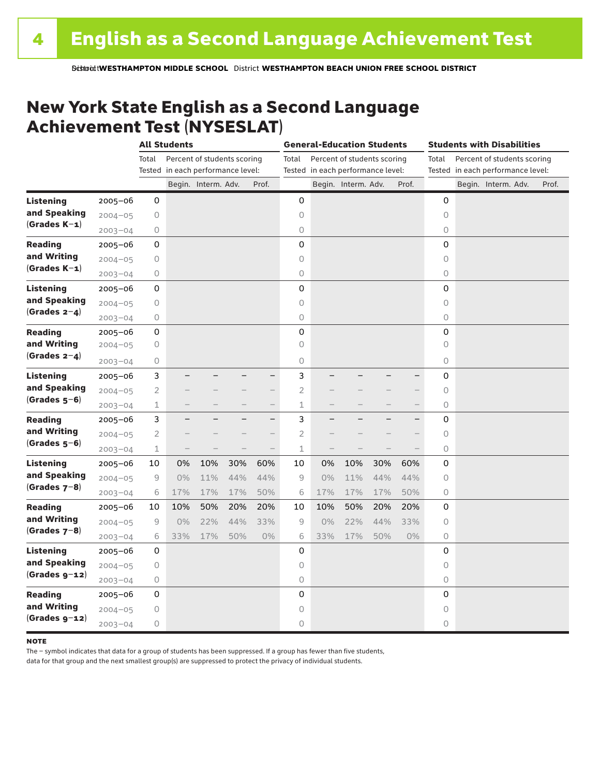### New York State English as a Second Language Achievement Test (NYSESLAT)

|                  |             | <b>All Students</b> |                                   |                             | <b>General-Education Students</b> |                          |                |                                   | <b>Students with Disabilities</b> |     |       |                                      |                                   |                     |  |       |
|------------------|-------------|---------------------|-----------------------------------|-----------------------------|-----------------------------------|--------------------------|----------------|-----------------------------------|-----------------------------------|-----|-------|--------------------------------------|-----------------------------------|---------------------|--|-------|
|                  |             | Total               |                                   | Percent of students scoring |                                   |                          | Total          |                                   | Percent of students scoring       |     |       | Percent of students scoring<br>Total |                                   |                     |  |       |
|                  |             |                     | Tested in each performance level: |                             |                                   |                          |                | Tested in each performance level: |                                   |     |       |                                      | Tested in each performance level: |                     |  |       |
|                  |             |                     |                                   | Begin. Interm. Adv.         |                                   | Prof.                    |                |                                   | Begin. Interm. Adv.               |     | Prof. |                                      |                                   | Begin. Interm. Adv. |  | Prof. |
| <b>Listening</b> | 2005-06     | 0                   |                                   |                             |                                   |                          | 0              |                                   |                                   |     |       | 0                                    |                                   |                     |  |       |
| and Speaking     | $2004 - 05$ | 0                   |                                   |                             |                                   |                          | 0              |                                   |                                   |     |       | $\circ$                              |                                   |                     |  |       |
| $(Grades K-1)$   | $2003 - 04$ | 0                   |                                   |                             |                                   |                          | $\bigcirc$     |                                   |                                   |     |       | 0                                    |                                   |                     |  |       |
| <b>Reading</b>   | $2005 - 06$ | 0                   |                                   |                             |                                   |                          | $\mathbf 0$    |                                   |                                   |     |       | 0                                    |                                   |                     |  |       |
| and Writing      | $2004 - 05$ | $\mathsf O$         |                                   |                             |                                   |                          | $\circ$        |                                   |                                   |     |       | 0                                    |                                   |                     |  |       |
| $(Grades K-1)$   | $2003 - 04$ | 0                   |                                   |                             |                                   |                          | $\circ$        |                                   |                                   |     |       | 0                                    |                                   |                     |  |       |
| <b>Listening</b> | $2005 - 06$ | 0                   |                                   |                             |                                   |                          | 0              |                                   |                                   |     |       | 0                                    |                                   |                     |  |       |
| and Speaking     | $2004 - 05$ | 0                   |                                   |                             |                                   |                          | $\circ$        |                                   |                                   |     |       | 0                                    |                                   |                     |  |       |
| $(Grades 2-4)$   | $2003 - 04$ | 0                   |                                   |                             |                                   |                          | $\circ$        |                                   |                                   |     |       | 0                                    |                                   |                     |  |       |
| <b>Reading</b>   | $2005 - 06$ | 0                   |                                   |                             |                                   |                          | 0              |                                   |                                   |     |       | 0                                    |                                   |                     |  |       |
| and Writing      | $2004 - 05$ | 0                   |                                   |                             |                                   |                          | 0              |                                   |                                   |     |       | 0                                    |                                   |                     |  |       |
| (Grades $2-4$ )  | $2003 - 04$ | 0                   |                                   |                             |                                   |                          | $\mathsf O$    |                                   |                                   |     |       | 0                                    |                                   |                     |  |       |
| <b>Listening</b> | $2005 - 06$ | 3                   |                                   |                             |                                   | $\overline{\phantom{0}}$ | 3              |                                   |                                   |     |       | 0                                    |                                   |                     |  |       |
| and Speaking     | $2004 - 05$ | $\overline{2}$      |                                   |                             |                                   | -                        | $\overline{2}$ |                                   |                                   |     |       | 0                                    |                                   |                     |  |       |
| $(Grades 5-6)$   | $2003 - 04$ | $\mathbf 1$         |                                   |                             |                                   | $\overline{\phantom{0}}$ | 1              |                                   |                                   |     | $-$   | 0                                    |                                   |                     |  |       |
| <b>Reading</b>   | $2005 - 06$ | 3                   | ÷                                 |                             |                                   | -                        | 3              |                                   |                                   |     | —     | $\mathbf 0$                          |                                   |                     |  |       |
| and Writing      | $2004 - 05$ | $\mathbf{2}$        |                                   |                             |                                   | -                        | $\overline{c}$ |                                   |                                   |     |       | $\Omega$                             |                                   |                     |  |       |
| $(Grades 5-6)$   | $2003 - 04$ | $1\,$               | $\overline{\phantom{0}}$          |                             |                                   | $\overline{\phantom{0}}$ | $\mathbf 1$    |                                   |                                   |     |       | 0                                    |                                   |                     |  |       |
| <b>Listening</b> | $2005 - 06$ | 10                  | 0%                                | 10%                         | 30%                               | 60%                      | 10             | 0%                                | 10%                               | 30% | 60%   | 0                                    |                                   |                     |  |       |
| and Speaking     | $2004 - 05$ | 9                   | $0\%$                             | 11%                         | 44%                               | 44%                      | 9              | 0%                                | 11%                               | 44% | 44%   | 0                                    |                                   |                     |  |       |
| $(Grades 7-8)$   | $2003 - 04$ | 6                   | 17%                               | 17%                         | 17%                               | 50%                      | 6              | 17%                               | 17%                               | 17% | 50%   | 0                                    |                                   |                     |  |       |
| <b>Reading</b>   | $2005 - 06$ | 10                  | 10%                               | 50%                         | 20%                               | 20%                      | 10             | 10%                               | 50%                               | 20% | 20%   | 0                                    |                                   |                     |  |       |
| and Writing      | $2004 - 05$ | 9                   | 0%                                | 22%                         | 44%                               | 33%                      | 9              | 0%                                | 22%                               | 44% | 33%   | 0                                    |                                   |                     |  |       |
| $(Grades 7-8)$   | $2003 - 04$ | 6                   | 33%                               | 17%                         | 50%                               | 0%                       | 6              | 33%                               | 17%                               | 50% | $0\%$ | 0                                    |                                   |                     |  |       |
| <b>Listening</b> | $2005 - 06$ | 0                   |                                   |                             |                                   |                          | 0              |                                   |                                   |     |       | 0                                    |                                   |                     |  |       |
| and Speaking     | $2004 - 05$ | $\bigcirc$          |                                   |                             |                                   |                          | $\circ$        |                                   |                                   |     |       | 0                                    |                                   |                     |  |       |
| $(Grades g-12)$  | $2003 - 04$ | 0                   |                                   |                             |                                   |                          | $\mathsf O$    |                                   |                                   |     |       | 0                                    |                                   |                     |  |       |
| <b>Reading</b>   | $2005 - 06$ | 0                   |                                   |                             |                                   |                          | 0              |                                   |                                   |     |       | $\mathbf 0$                          |                                   |                     |  |       |
| and Writing      | $2004 - 05$ | 0                   |                                   |                             |                                   |                          | 0              |                                   |                                   |     |       | 0                                    |                                   |                     |  |       |
| $(Grades g-12)$  | $2003 - 04$ | 0                   |                                   |                             |                                   |                          | $\circ$        |                                   |                                   |     |       | 0                                    |                                   |                     |  |       |

#### **NOTE**

The – symbol indicates that data for a group of students has been suppressed. If a group has fewer than five students,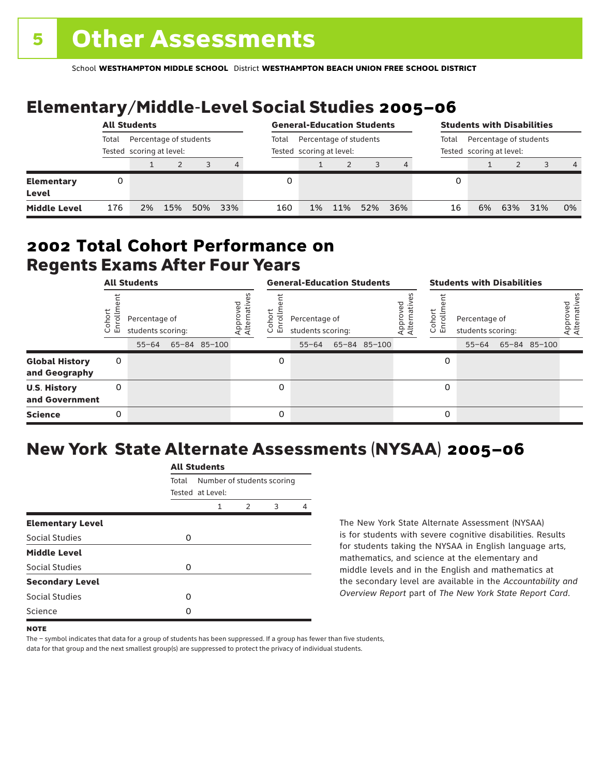# Elementary/Middle-Level Social Studies 2005–06

|                            | <b>All Students</b> |                                                    |     |     |     | <b>General-Education Students</b> |    |                                                    |     |     | <b>Students with Disabilities</b> |    |                                                    |     |                |
|----------------------------|---------------------|----------------------------------------------------|-----|-----|-----|-----------------------------------|----|----------------------------------------------------|-----|-----|-----------------------------------|----|----------------------------------------------------|-----|----------------|
|                            | Total               | Percentage of students<br>Tested scoring at level: |     |     |     | Total                             |    | Percentage of students<br>Tested scoring at level: |     |     | Total                             |    | Percentage of students<br>Tested scoring at level: |     |                |
|                            |                     |                                                    |     |     | 4   |                                   |    |                                                    |     |     |                                   |    |                                                    |     | $\overline{4}$ |
| <b>Elementary</b><br>Level | 0                   |                                                    |     |     |     |                                   |    |                                                    |     |     |                                   |    |                                                    |     |                |
| <b>Middle Level</b>        | 176                 | 2%                                                 | 15% | 50% | 33% | 160                               | 1% | 11%                                                | 52% | 36% | 16                                | 6% | 63%                                                | 31% | 0%             |

### Regents Exams After Four Years 2002 **Total Cohort Performance on**

| <b>All Students</b>                    |                |                                                 |  | <b>General-Education Students</b> |                         |                               |                                                 |  | <b>Students with Disabilities</b> |                         |                          |                                                 |  |              |                          |
|----------------------------------------|----------------|-------------------------------------------------|--|-----------------------------------|-------------------------|-------------------------------|-------------------------------------------------|--|-----------------------------------|-------------------------|--------------------------|-------------------------------------------------|--|--------------|--------------------------|
|                                        | oho<br>o<br>ごこ | Percentage of<br>students scoring:<br>$55 - 64$ |  | 65-84 85-100                      | Approved<br>Alternative | <u>م</u><br>o.<br>亩<br>$\cup$ | Percentage of<br>students scoring:<br>$55 - 64$ |  | 65-84 85-100                      | Approved<br>Alternative | Cohort<br>nilo<br>I<br>훕 | Percentage of<br>students scoring:<br>$55 - 64$ |  | 65-84 85-100 | Approved<br>Alternatives |
| <b>Global History</b><br>and Geography | 0              |                                                 |  |                                   |                         | 0                             |                                                 |  |                                   |                         | 0                        |                                                 |  |              |                          |
| <b>U.S. History</b><br>and Government  | 0              |                                                 |  |                                   |                         | 0                             |                                                 |  |                                   |                         | 0                        |                                                 |  |              |                          |
| <b>Science</b>                         | 0              |                                                 |  |                                   |                         | 0                             |                                                 |  |                                   |                         | 0                        |                                                 |  |              |                          |

## New York State Alternate Assessments (NYSAA) 2005–06

|                         | <b>All Students</b> |                                 |  |  |   |  |  |  |  |
|-------------------------|---------------------|---------------------------------|--|--|---|--|--|--|--|
|                         | Total               | Number of students scoring      |  |  |   |  |  |  |  |
|                         |                     | Tested at Level:<br>2<br>1<br>3 |  |  |   |  |  |  |  |
| <b>Elementary Level</b> |                     |                                 |  |  | 4 |  |  |  |  |
| Social Studies          | O                   |                                 |  |  |   |  |  |  |  |
| <b>Middle Level</b>     |                     |                                 |  |  |   |  |  |  |  |
| Social Studies          | O                   |                                 |  |  |   |  |  |  |  |
| <b>Secondary Level</b>  |                     |                                 |  |  |   |  |  |  |  |
| Social Studies          | ი                   |                                 |  |  |   |  |  |  |  |
| Science                 | Ω                   |                                 |  |  |   |  |  |  |  |
|                         |                     |                                 |  |  |   |  |  |  |  |

The New York State Alternate Assessment (NYSAA) is for students with severe cognitive disabilities. Results for students taking the NYSAA in English language arts, mathematics, and science at the elementary and middle levels and in the English and mathematics at the secondary level are available in the *Accountability and Overview Report* part of *The New York State Report Card*.

The – symbol indicates that data for a group of students has been suppressed. If a group has fewer than five students, data for that group and the next smallest group(s) are suppressed to protect the privacy of individual students.

**NOTE**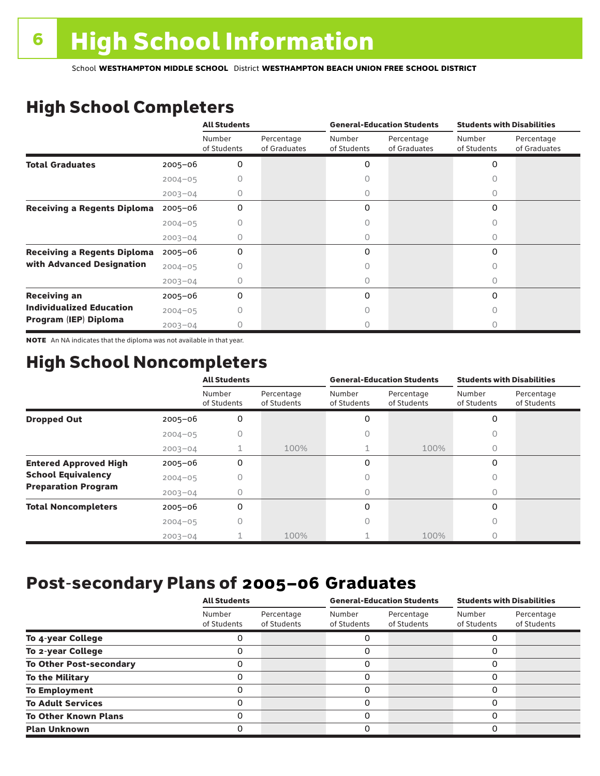# High School Completers

|                                    |             | <b>All Students</b>   |                            |                       | <b>General-Education Students</b> | <b>Students with Disabilities</b> |                            |  |
|------------------------------------|-------------|-----------------------|----------------------------|-----------------------|-----------------------------------|-----------------------------------|----------------------------|--|
|                                    |             | Number<br>of Students | Percentage<br>of Graduates | Number<br>of Students | Percentage<br>of Graduates        | Number<br>of Students             | Percentage<br>of Graduates |  |
| <b>Total Graduates</b>             | $2005 - 06$ | 0                     |                            | 0                     |                                   | 0                                 |                            |  |
|                                    | $2004 - 05$ |                       |                            |                       |                                   |                                   |                            |  |
|                                    | $2003 - 04$ | 0                     |                            | 0                     |                                   | 0                                 |                            |  |
| <b>Receiving a Regents Diploma</b> | $2005 - 06$ | 0                     |                            | 0                     |                                   | 0                                 |                            |  |
|                                    | $2004 - 05$ |                       |                            |                       |                                   | Ω                                 |                            |  |
|                                    | $2003 - 04$ |                       |                            | O                     |                                   | 0                                 |                            |  |
| <b>Receiving a Regents Diploma</b> | $2005 - 06$ | $\Omega$              |                            | 0                     |                                   | $\Omega$                          |                            |  |
| with Advanced Designation          | $2004 - 05$ |                       |                            |                       |                                   | Ω                                 |                            |  |
|                                    | $2003 - 04$ |                       |                            | Ω                     |                                   | U                                 |                            |  |
| <b>Receiving an</b>                | $2005 - 06$ | 0                     |                            | 0                     |                                   | $\Omega$                          |                            |  |
| <b>Individualized Education</b>    | $2004 - 05$ |                       |                            |                       |                                   | Ω                                 |                            |  |
| Program (IEP) Diploma              | $2003 - 04$ |                       |                            |                       |                                   |                                   |                            |  |

NOTE An NA indicates that the diploma was not available in that year.

### High School Noncompleters

|                              |             | <b>All Students</b>   |                           |                       | <b>General-Education Students</b> | <b>Students with Disabilities</b> |                           |  |
|------------------------------|-------------|-----------------------|---------------------------|-----------------------|-----------------------------------|-----------------------------------|---------------------------|--|
|                              |             | Number<br>of Students | Percentage<br>of Students | Number<br>of Students | Percentage<br>of Students         | Number<br>of Students             | Percentage<br>of Students |  |
| <b>Dropped Out</b>           | $2005 - 06$ | 0                     |                           | 0                     |                                   | 0                                 |                           |  |
|                              | $2004 - 05$ |                       |                           |                       |                                   |                                   |                           |  |
|                              | $2003 - 04$ |                       | 100%                      |                       | 100%                              | $\bigcap$                         |                           |  |
| <b>Entered Approved High</b> | $2005 - 06$ | 0                     |                           | 0                     |                                   | 0                                 |                           |  |
| <b>School Equivalency</b>    | $2004 - 05$ |                       |                           | Ω                     |                                   | $\bigcap$                         |                           |  |
| <b>Preparation Program</b>   | $2003 - 04$ |                       |                           | 0                     |                                   | $\bigcap$                         |                           |  |
| <b>Total Noncompleters</b>   | $2005 - 06$ | 0                     |                           | 0                     |                                   | 0                                 |                           |  |
|                              | $2004 - 05$ | 0                     |                           | 0                     |                                   | $\bigcap$                         |                           |  |
|                              | $2003 - 04$ |                       | 100%                      |                       | 100%                              |                                   |                           |  |

### Post-secondary Plans of 2005–06 **Graduates**

|                                | <b>All Students</b>   |                           |                       | <b>General-Education Students</b> | <b>Students with Disabilities</b> |                           |  |
|--------------------------------|-----------------------|---------------------------|-----------------------|-----------------------------------|-----------------------------------|---------------------------|--|
|                                | Number<br>of Students | Percentage<br>of Students | Number<br>of Students | Percentage<br>of Students         | Number<br>of Students             | Percentage<br>of Students |  |
| To 4-year College              |                       |                           |                       |                                   |                                   |                           |  |
| To 2-year College              |                       |                           | 0                     |                                   | 0                                 |                           |  |
| <b>To Other Post-secondary</b> |                       |                           | ი                     |                                   | 0                                 |                           |  |
| <b>To the Military</b>         |                       |                           | ი                     |                                   | 0                                 |                           |  |
| <b>To Employment</b>           |                       |                           | 0                     |                                   | 0                                 |                           |  |
| <b>To Adult Services</b>       |                       |                           |                       |                                   | O                                 |                           |  |
| <b>To Other Known Plans</b>    |                       |                           | 0                     |                                   | 0                                 |                           |  |
| <b>Plan Unknown</b>            |                       |                           |                       |                                   | 0                                 |                           |  |